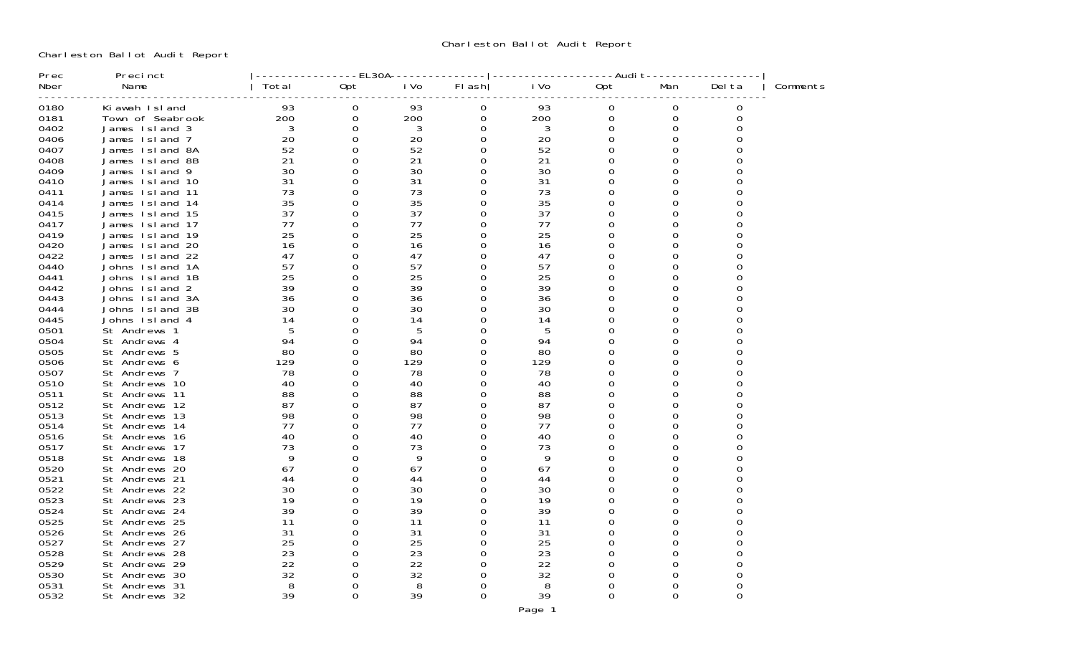Charleston Ballot Audit Report

| Prec         | Precinct                       |         | EL30A    |         |              |      | -Audit   |          |          |          |
|--------------|--------------------------------|---------|----------|---------|--------------|------|----------|----------|----------|----------|
| Nber         | Name                           | Total   | 0pt      | i Vo    | FI ash       | i Vo | 0pt      | Man      | Del ta   | Comments |
| 0180         | Ki awah Island                 | 93      | 0        | 93      | 0            | 93   | ი        | 0        | 0        |          |
| 0181         | Town of Seabrook               | 200     | 0        | 200     | 0            | 200  | 0        | 0        | 0        |          |
| 0402         | James Island 3                 | 3       | 0        | 3       | 0            | 3    | 0        | 0        | 0        |          |
| 0406         | James Island 7                 | 20      | 0        | 20      | 0            | 20   | 0        | 0        | O        |          |
| 0407         | James Island 8A                | 52      | 0        | 52      | 0            | 52   |          | 0        |          |          |
| 0408         | James Island 8B                | 21      | 0        | 21      | 0            | 21   |          | 0        |          |          |
| 0409         | James Island 9                 | 30      | 0        | 30      | 0            | 30   |          | U        |          |          |
| 0410         | James Island 10                | 31      | 0        | 31      | 0            | 31   | Ω        | 0        |          |          |
| 0411         | James Island 11                | 73      | 0        | 73      | $\Omega$     | 73   |          | Ω        |          |          |
| 0414         | James Island 14                | 35      | 0        | 35      | 0            | 35   | Ω        | 0        |          |          |
| 0415         | James Island 15                | 37      | 0        | 37      | 0            | 37   |          | U        |          |          |
| 0417         | James Island 17                | 77      | 0        | 77      | 0            | 77   | O        | 0        |          |          |
| 0419         | James Island 19                | 25      | 0        | 25      | 0            | 25   | O        | O        |          |          |
| 0420         | James Island 20                | 16      | 0        | 16      | 0            | 16   |          | U        |          |          |
| 0422         | James Island 22                | 47      | 0        | 47      | O.           | 47   | O        | 0        | O        |          |
| 0440         | Johns Island 1A                | 57      | 0        | 57      | <sup>0</sup> | 57   |          | 0        |          |          |
| 0441         | Johns Island 1B                | 25      | 0        | 25      | <sup>0</sup> | 25   | O        | O        | O        |          |
| 0442         | Johns Island<br>2              | 39      | 0        | 39      | O            | 39   |          | 0        |          |          |
| 0443         | Johns Island<br>3A             | 36      | 0        | 36      | <sup>0</sup> | 36   | U        | 0        | ∩        |          |
| 0444         | Johns Island<br>3B             | 30      | 0        | 30      | O            | 30   | O        | O<br>O   |          |          |
| 0445<br>0501 | Johns Island 4<br>St Andrews 1 | 14<br>5 | 0<br>0   | 14<br>5 | 0            | 14   |          | 0        | O        |          |
| 0504         | St Andrews 4                   | 94      | 0        | 94      | <sup>0</sup> | 94   | O        | 0        | ∩        |          |
| 0505         | St Andrews 5                   | 80      | 0        | 80      | O.           | 80   |          | U        |          |          |
| 0506         | St Andrews 6                   | 129     | 0        | 129     | O.           | 129  | Ω        | O        | O        |          |
| 0507         | St Andrews 7                   | 78      | 0        | 78      | 0            | 78   | O        | O        |          |          |
| 0510         | St Andrews 10                  | 40      | 0        | 40      | 0            | 40   | 0        | 0        | ∩        |          |
| 0511         | St Andrews 11                  | 88      | 0        | 88      | 0            | 88   |          |          |          |          |
| 0512         | St Andrews 12                  | 87      | 0        | 87      | 0            | 87   | Ω        | O        |          |          |
| 0513         | St Andrews 13                  | 98      | 0        | 98      | 0            | 98   |          |          |          |          |
| 0514         | St Andrews 14                  | 77      | 0        | 77      | O.           | 77   | O        | U        |          |          |
| 0516         | St Andrews 16                  | 40      | 0        | 40      | 0            | 40   |          |          |          |          |
| 0517         | St Andrews 17                  | 73      | 0        | 73      | 0            | 73   | Ω        | 0        |          |          |
| 0518         | St Andrews 18                  | 9       | 0        | 9       | 0            | 9    |          |          |          |          |
| 0520         | St Andrews 20                  | 67      | 0        | 67      | O.           | 67   | Ω        | U        |          |          |
| 0521         | St Andrews 21                  | 44      | 0        | 44      | O            | 44   |          |          |          |          |
| 0522         | St Andrews 22                  | 30      | 0        | 30      | 0            | 30   | Ω        | 0        | 0        |          |
| 0523         | St Andrews 23                  | 19      | 0        | 19      | O            | 19   | O        | U        | ∩        |          |
| 0524         | St Andrews 24                  | 39      | 0        | 39      | O.           | 39   | Ω        | 0        | O        |          |
| 0525         | St Andrews 25                  | 11      | 0        | 11      | 0            | 11   | Ω        | O        |          |          |
| 0526         | St Andrews 26                  | 31      | 0        | 31      | 0            | 31   | Ω        | O        |          |          |
| 0527         | St Andrews 27                  | 25      | 0        | 25      | 0            | 25   |          | U        |          |          |
| 0528         | St Andrews 28                  | 23      | 0        | 23      | 0            | 23   |          | 0        |          |          |
| 0529         | St Andrews 29                  | 22      | 0        | 22      | <sup>0</sup> | 22   |          | O        | ∩        |          |
| 0530         | St Andrews 30                  | 32      | 0        | 32      | O.           | 32   |          | 0        | 0        |          |
| 0531         | St Andrews 31                  | 8       | 0        | 8       | 0            | 8    | Ω        | 0        | $\Omega$ |          |
| 0532         | St Andrews 32                  | 39      | $\Omega$ | 39      | $\Omega$     | 39   | $\Omega$ | $\Omega$ | $\Omega$ |          |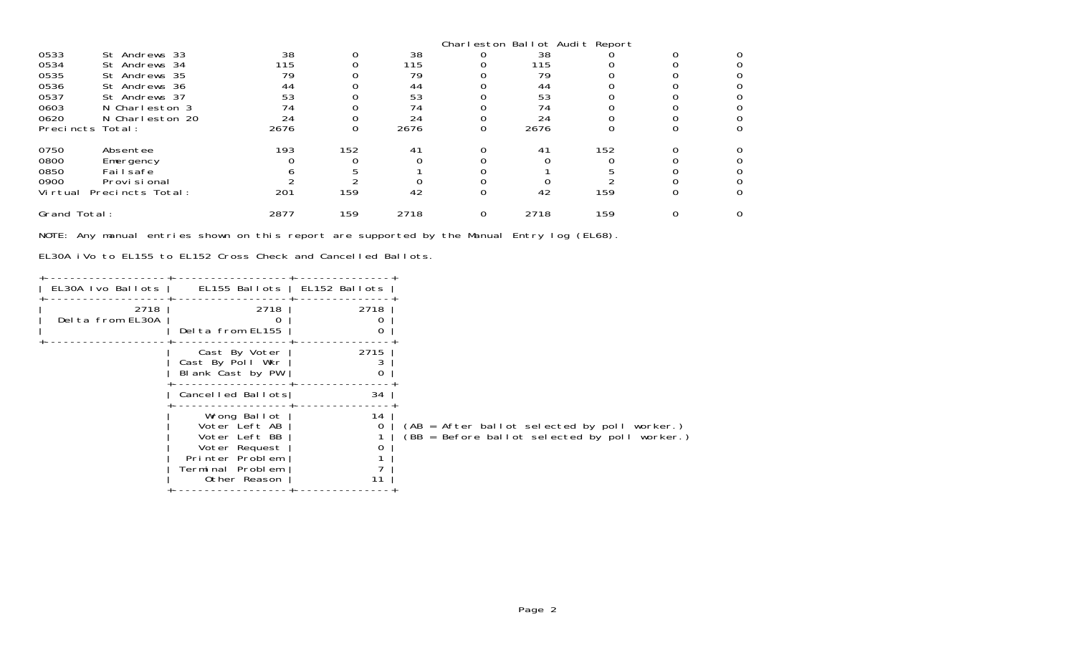|                  |                  |      |     |      |   | Charleston Ballot Audit Report |     |  |
|------------------|------------------|------|-----|------|---|--------------------------------|-----|--|
| 0533             | St Andrews 33    | 38   |     | 38   |   | 38                             |     |  |
| 0534             | St Andrews 34    | 115  |     | 115  |   | 115                            |     |  |
| 0535             | St Andrews 35    | 79   |     | 79   |   | 79                             |     |  |
| 0536             | St Andrews 36    | 44   |     | 44   |   | 44                             |     |  |
| 0537             | St Andrews 37    | 53   |     | 53   |   | 53                             |     |  |
| 0603             | N Charleston 3   | 74   |     |      |   | 74                             |     |  |
| 0620             | N Charleston 20  | 24   |     | 24   |   | 24                             |     |  |
| Precincts Total: |                  | 2676 |     | 2676 |   | 2676                           |     |  |
| 0750             | Absentee         | 193  | 152 | 41   |   | 41                             | 152 |  |
| 0800             | Emergency        |      |     |      |   |                                |     |  |
| 0850             | Fai I safe       |      |     |      |   |                                |     |  |
| 0900             | Provi si onal    |      |     |      |   |                                |     |  |
| Vi rtual         | Precincts Total: | 201  | 159 | 42   |   | 42                             | 159 |  |
| Grand Total:     |                  | 2877 | 159 | 2718 | 0 | 2718                           | 159 |  |

NOTE: Any manual entries shown on this report are supported by the Manual Entry log (EL68).

EL30A iVo to EL155 to EL152 Cross Check and Cancelled Ballots.

| EL30A Ivo Ballots        | EL155 Ballots   EL152 Ballots                                                                                          |      |                                                                                               |
|--------------------------|------------------------------------------------------------------------------------------------------------------------|------|-----------------------------------------------------------------------------------------------|
| 2718<br>Delta from EL30A | 2718<br>Delta from EL155                                                                                               | 2718 |                                                                                               |
|                          | Cast By Voter<br>Cast By Poll Wkr<br>Blank Cast by PW                                                                  | 2715 |                                                                                               |
|                          | Cancelled Ballots                                                                                                      | 34   |                                                                                               |
|                          | Wrong Ballot<br>Voter Left AB<br>Voter Left BB<br>Voter Request<br>Printer Problem<br>Terminal Problem<br>Other Reason | 14   | (AB = After ballot selected by poll worker.)<br>(BB = Before ballot selected by poll worker.) |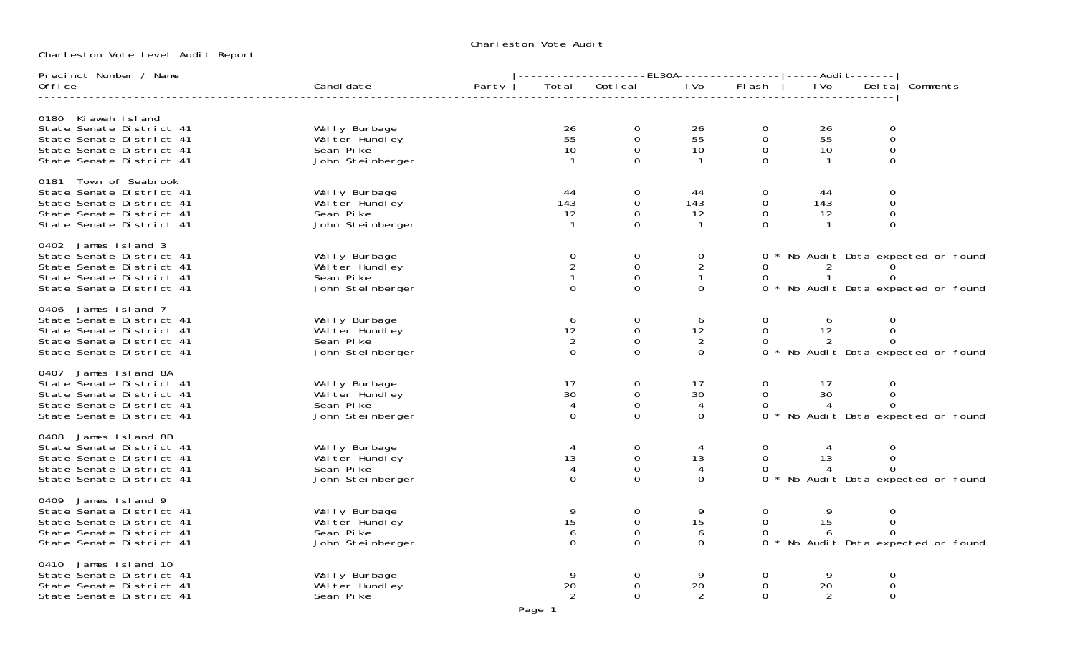Charleston Vote Audit

Charleston Vote Level Audit Report

| Precinct Number / Name                               |                                 |                      |                                    | -------------------EL30A---------------- -----Audit------- |                                    |                 |                                |                                   |
|------------------------------------------------------|---------------------------------|----------------------|------------------------------------|------------------------------------------------------------|------------------------------------|-----------------|--------------------------------|-----------------------------------|
| Office                                               | Candi date                      | Party                | Total Optical Costal Divo          |                                                            | FI ash                             | i Vo            |                                | Delta Comments                    |
|                                                      |                                 |                      |                                    |                                                            |                                    |                 |                                |                                   |
| 0180 Ki awah Island<br>State Senate District 41      | Wally Burbage                   | 26                   | 0                                  | 26                                                         | 0                                  |                 | 0                              |                                   |
| State Senate District 41                             | Wal ter Hundley                 | 55                   | $\mathbf 0$                        | 55                                                         | $\overline{0}$                     | $\frac{26}{55}$ | $\mathbf 0$                    |                                   |
| State Senate District 41                             | Sean Pike                       | 10                   | $\mathbf 0$                        | 10                                                         | $\mathbf 0$                        | 10              | $\boldsymbol{0}$               |                                   |
| State Senate District 41                             | John Steinberger                |                      | $\Omega$                           | $\overline{1}$                                             | $\Omega$                           | $\overline{1}$  | $\Omega$                       |                                   |
| 0181 Town of Seabrook                                |                                 |                      |                                    |                                                            |                                    |                 |                                |                                   |
| State Senate District 41                             | Wally Burbage                   | 44                   | 0                                  | 44                                                         | 0                                  | 44              | 0                              |                                   |
| State Senate District 41                             | Wal ter Hundley<br>Sean Pike    | 143<br>12            | $\mathsf{O}\xspace$<br>$\mathbf 0$ | 143<br>12                                                  | $\mathsf{O}\xspace$<br>$\mathbf 0$ | 143<br>12       | $\boldsymbol{0}$<br>$\mbox{O}$ |                                   |
| State Senate District 41<br>State Senate District 41 | John Steinberger                | $\mathbf{1}$         | $\Omega$                           | $\mathbf{1}$                                               | $\Omega$                           | $\overline{1}$  | $\mathbf 0$                    |                                   |
|                                                      |                                 |                      |                                    |                                                            |                                    |                 |                                |                                   |
| 0402 James Island 3<br>State Senate District 41      | Wally Burbage                   | $\overline{0}$       | 0                                  | 0                                                          |                                    |                 |                                | No Audit Data expected or found   |
| State Senate District 41                             | Wal ter Hundley                 | $\overline{2}$       | $\mathbf 0$                        | $\overline{c}$                                             | 0                                  | $\overline{2}$  |                                |                                   |
| State Senate District 41                             | Sean Pike                       | $\mathbf{1}$         | $\mathbf 0$                        | $\mathbf{1}$                                               | $\Omega$                           | $\mathbf{1}$    | $\frac{0}{0}$                  |                                   |
| State Senate District 41                             | John Steinberger                | $\Omega$             | $\Omega$                           | $\Omega$                                                   | $\Omega$                           |                 |                                | * No Audit Data expected or found |
| 0406 James Island 7                                  |                                 |                      |                                    |                                                            |                                    |                 |                                |                                   |
| State Senate District 41                             | Wally Burbage<br>Walter Hundley | 6                    | 0                                  | 6                                                          | $\Omega$                           | 6               | 0                              |                                   |
| State Senate District 41<br>State Senate District 41 | Sean Pike                       | 12<br>$\overline{2}$ | $\mathbf 0$<br>$\mathbf 0$         | 12<br>$\overline{2}$                                       | 0<br>$\Omega$                      | 12<br>2         | $\mathbf 0$<br>$\Omega$        |                                   |
| State Senate District 41                             | John Steinberger                | $\Omega$             | $\Omega$                           | $\Omega$                                                   | $\Omega$                           |                 |                                | * No Audit Data expected or found |
|                                                      |                                 |                      |                                    |                                                            |                                    |                 |                                |                                   |
| 0407 James Island 8A<br>State Senate District 41     | Wally Burbage                   | 17                   | 0                                  | 17                                                         | $\mathbf{0}$                       | 17              | 0                              |                                   |
| State Senate District 41                             | Wal ter Hundley                 | 30                   | 0                                  | 30                                                         | $\overline{0}$                     | 30              | $\mbox{O}$                     |                                   |
| State Senate District 41                             | Sean Pike                       | $\overline{4}$       | $\mathbf 0$                        | 4                                                          | $\Omega$                           | $\overline{4}$  | $\Omega$                       |                                   |
| State Senate District 41                             | John Steinberger                | $\Omega$             | $\Omega$                           | $\Omega$                                                   | $\Omega$                           |                 |                                | No Audit Data expected or found   |
| James Island 8B<br>0408                              |                                 |                      |                                    |                                                            |                                    |                 |                                |                                   |
| State Senate District 41                             | Wally Burbage                   |                      | 0                                  | 4                                                          | 0                                  | 4               | $\mathbf 0$                    |                                   |
| State Senate District 41<br>State Senate District 41 | Wal ter Hundley<br>Sean Pike    | 13<br>4              | $\mathbf 0$<br>$\mathbf 0$         | 13<br>4                                                    | $\mathbf 0$<br>0                   | 13<br>4         | 0<br>$\Omega$                  |                                   |
| State Senate District 41                             | John Steinberger                | $\Omega$             | $\Omega$                           | $\mathbf{O}$                                               | $\Omega$                           |                 |                                | * No Audit Data expected or found |
|                                                      |                                 |                      |                                    |                                                            |                                    |                 |                                |                                   |
| James Island 9<br>0409<br>State Senate District 41   | Wally Burbage                   | 9                    | 0                                  | 9                                                          | 0                                  |                 | 0                              |                                   |
| State Senate District 41                             | Wal ter Hundley                 | 15                   | $\mathbf 0$                        | 15                                                         | $\mathbf 0$                        | 15              | $\boldsymbol{0}$               |                                   |
| State Senate District 41                             | Sean Pike                       | 6                    | $\mathsf 0$                        | 6                                                          | 0                                  | 6               | $\mathbf 0$                    |                                   |
| State Senate District 41                             | John Steinberger                | $\Omega$             | $\Omega$                           | $\Omega$                                                   | $\Omega$                           |                 |                                | No Audit Data expected or found   |
| 0410 James Island 10                                 |                                 |                      |                                    |                                                            |                                    |                 |                                |                                   |
| State Senate District 41                             | Wally Burbage                   | 9                    | 0                                  | 9<br>20                                                    | 0                                  | -9              | 0                              |                                   |
| State Senate District 41<br>State Senate District 41 | Wal ter Hundley<br>Sean Pike    | 20<br>2              | 0<br>$\Omega$                      |                                                            | 0<br>$\Omega$                      | 20<br>2         | 0<br>0                         |                                   |
|                                                      |                                 |                      |                                    |                                                            |                                    |                 |                                |                                   |

Page 1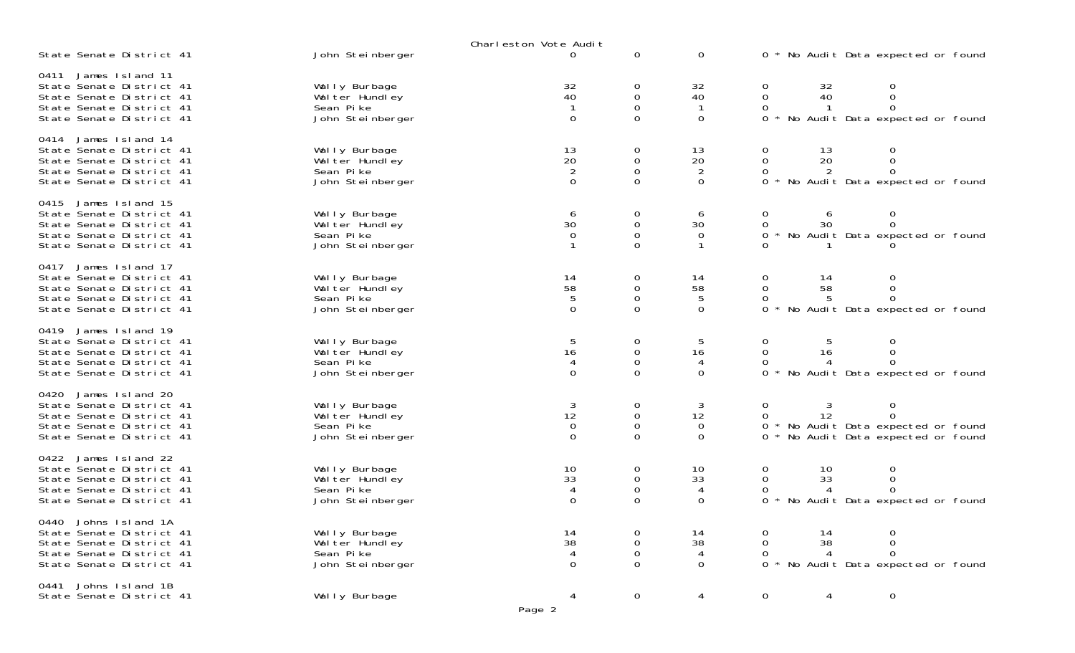|                                                                                                                                         |                                                                   | Charleston Vote Audit                                        |                                                     |                                            |                                                                                                          |
|-----------------------------------------------------------------------------------------------------------------------------------------|-------------------------------------------------------------------|--------------------------------------------------------------|-----------------------------------------------------|--------------------------------------------|----------------------------------------------------------------------------------------------------------|
| State Senate District 41                                                                                                                | John Steinberger                                                  | 0                                                            | $\mathbf 0$                                         | $\mathbf 0$                                | 0 * No Audit Data expected or found                                                                      |
| James Island 11<br>0411<br>State Senate District 41<br>State Senate District 41<br>State Senate District 41<br>State Senate District 41 | Wally Burbage<br>Wal ter Hundley<br>Sean Pike<br>John Steinberger | 32<br>40<br>$\mathbf{1}$<br>$\mathbf 0$                      | 0<br>0<br>$\mathbf 0$<br>0                          | 32<br>40<br>-1<br>$\mathbf 0$              | 32<br>40<br>0<br>0<br>$\Omega$<br>0<br>-1<br>No Audit Data expected or found<br>0                        |
| James Island 14<br>0414<br>State Senate District 41<br>State Senate District 41<br>State Senate District 41<br>State Senate District 41 | Wally Burbage<br>Wal ter Hundley<br>Sean Pike<br>John Steinberger | $\begin{array}{c} 13 \\ 20 \\ 2 \end{array}$<br>$\mathbf{0}$ | 0<br>0<br>$\mathbf 0$<br>$\Omega$                   | 13<br>20<br>$\overline{2}$<br>$\mathbf{O}$ | 13<br>20<br>0<br>0<br>$\Omega$<br>2<br>0<br>No Audit Data expected or found                              |
| James Island 15<br>0415<br>State Senate District 41<br>State Senate District 41<br>State Senate District 41<br>State Senate District 41 | Wally Burbage<br>Wal ter Hundley<br>Sean Pike<br>John Steinberger | 6<br>$3\overline{0}$<br>0                                    | 0<br>$\mathbf 0$<br>0<br>$\Omega$                   | 6<br>30<br>0                               | 0<br>0<br>6<br>30<br>0<br>0<br>No Audit Data expected or found<br>0                                      |
| James Island 17<br>0417<br>State Senate District 41<br>State Senate District 41<br>State Senate District 41<br>State Senate District 41 | Wally Burbage<br>Wal ter Hundley<br>Sean Pike<br>John Steinberger | $\begin{array}{c} 14 \\ 58 \\ 5 \end{array}$<br>$\mathbf 0$  | 0<br>$\mathbf 0$<br>$\mathsf{O}\xspace$<br>$\Omega$ | 14<br>58<br>$\overline{5}$<br>$\Omega$     | 0<br>14<br>0<br>$\Omega$<br>58<br>0<br>$\Omega$<br>5<br>0<br>No Audit Data expected or found<br>0        |
| James Island 19<br>0419<br>State Senate District 41<br>State Senate District 41<br>State Senate District 41<br>State Senate District 41 | Wally Burbage<br>Wal ter Hundley<br>Sean Pike<br>John Steinberger | $\frac{5}{16}$<br>$\overline{4}$<br>$\Omega$                 | 0<br>0<br>0<br>0                                    | 5<br>16<br>$\overline{4}$<br>$\Omega$      | 0<br>5<br>0<br>0<br>16<br>No Audit Data expected or found<br>0                                           |
| 0420 James Island 20<br>State Senate District 41<br>State Senate District 41<br>State Senate District 41<br>State Senate District 41    | Wally Burbage<br>Wal ter Hundley<br>Sean Pike<br>John Steinberger | $\begin{array}{c} 3 \\ 12 \\ 0 \end{array}$<br>$\Omega$      | 0<br>$\mathsf{O}\xspace$<br>0<br>$\Omega$           | 3<br>$12\,$<br>$\mathbf 0$<br>$\Omega$     | 0<br>3<br>0<br>12<br>$\mathbf 0$<br>* No Audit Data expected or found<br>No Audit Data expected or found |
| 0422 James Island 22<br>State Senate District 41<br>State Senate District 41<br>State Senate District 41<br>State Senate District 41    | Wally Burbage<br>Wal ter Hundley<br>Sean Pike<br>John Steinberger | 10<br>33<br>$\overline{4}$<br>0                              | 0<br>0<br>0<br>0                                    | 10<br>33<br>4<br>$\Omega$                  | 10<br>0<br>0<br>33<br>0<br>$\overline{A}$<br>0<br>No Audit Data expected or found                        |
| 0440 Johns Island 1A<br>State Senate District 41<br>State Senate District 41<br>State Senate District 41<br>State Senate District 41    | Wally Burbage<br>Wal ter Hundley<br>Sean Pike<br>John Steinberger | 14<br>38<br>4<br>$\Omega$                                    | 0<br>0<br>0<br>0                                    | 14<br>38<br>$\overline{4}$<br>0            | 14<br>38<br>0<br>0<br>0<br>$\Omega$<br>4<br>0<br>No Audit Data expected or found                         |
| 0441 Johns Island 1B<br>State Senate District 41                                                                                        | Wally Burbage                                                     | 4<br>Page 2                                                  | 0                                                   | 4                                          | 0<br>$\mathbf 0$<br>4                                                                                    |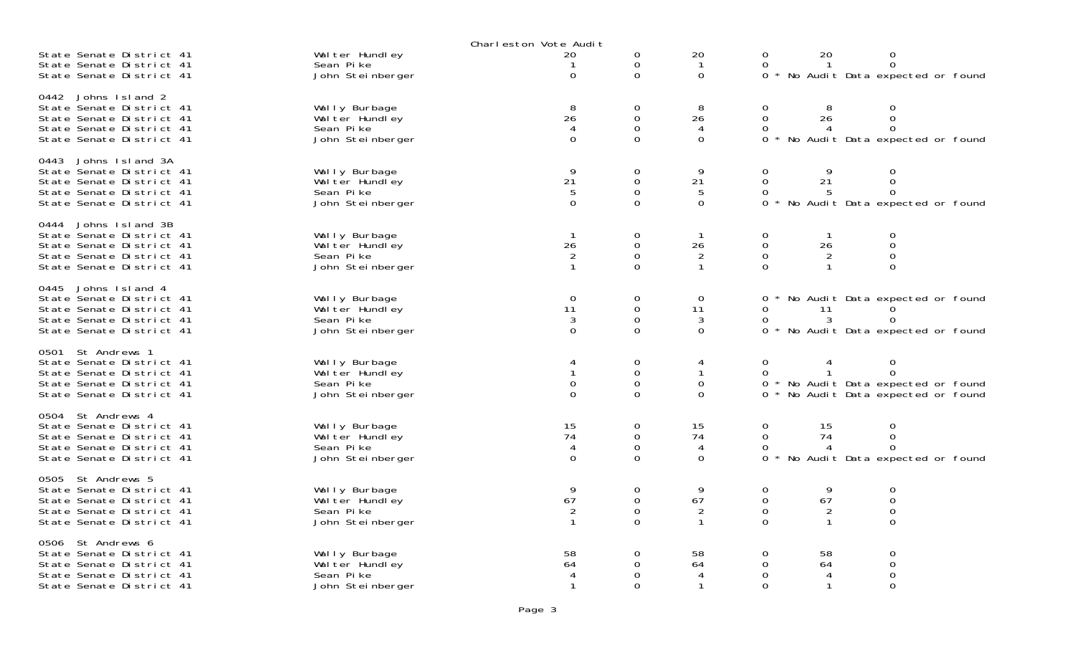|                                                                                                                                         |                                                                   | Charleston Vote Audit                                |                                                  |                                           |                                          |                                           |                                                                                                      |  |
|-----------------------------------------------------------------------------------------------------------------------------------------|-------------------------------------------------------------------|------------------------------------------------------|--------------------------------------------------|-------------------------------------------|------------------------------------------|-------------------------------------------|------------------------------------------------------------------------------------------------------|--|
| State Senate District 41<br>State Senate District 41<br>State Senate District 41                                                        | Wal ter Hundley<br>Sean Pike<br>John Steinberger                  | 20<br>0                                              | 0<br>0<br>0                                      | 20<br>-1<br>0                             | 0<br>$\Omega$<br>0                       | 20                                        | $\boldsymbol{0}$<br>$\mathbf{O}$<br>No Audit Data expected or found                                  |  |
| Johns Island 2<br>0442<br>State Senate District 41<br>State Senate District 41<br>State Senate District 41<br>State Senate District 41  | Wally Burbage<br>Wal ter Hundley<br>Sean Pike<br>John Steinberger | 8<br>26<br>4<br>$\mathbf 0$                          | 0<br>$\mathbf 0$<br>$\mathsf 0$<br>$\Omega$      | 8<br>26<br>4<br>0                         | 0<br>$\mathbf{O}$<br>0<br>0              | 8<br>26<br>4                              | $\mathbf 0$<br>$\mathbf 0$<br>$\mathbf 0$<br>No Audit Data expected or found                         |  |
| 0443<br>Johns Island 3A<br>State Senate District 41<br>State Senate District 41<br>State Senate District 41<br>State Senate District 41 | Wally Burbage<br>Wal ter Hundley<br>Sean Pike<br>John Steinberger | 9<br>21<br>$\mathbf 5$<br>$\mathbf 0$                | 0<br>$\mathbf 0$<br>$\mathbf 0$<br>0             | 9<br>21<br>5<br>$\mathbf 0$               | 0<br>0<br>0<br>0                         | 9<br>21<br>5                              | $\mathbf 0$<br>$\mathbf 0$<br>$\mathbf 0$<br>No Audit Data expected or found                         |  |
| 0444 Johns Island 3B<br>State Senate District 41<br>State Senate District 41<br>State Senate District 41<br>State Senate District 41    | Wally Burbage<br>Wal ter Hundley<br>Sean Pike<br>John Steinberger | -1<br>26<br>$\overline{2}$<br>$\mathbf{1}$           | 0<br>$\mathbf 0$<br>$\mathbf{O}$<br>$\mathbf{O}$ | -1<br>26<br>2<br>$\mathbf{1}$             | 0<br>0<br>$\Omega$<br>$\mathbf{O}$       | 26<br>2<br>$\mathbf{1}$                   | $\mathbf 0$<br>$\mathsf O$<br>$\mathbf 0$<br>$\mathbf 0$                                             |  |
| Johns Island 4<br>0445<br>State Senate District 41<br>State Senate District 41<br>State Senate District 41<br>State Senate District 41  | Wally Burbage<br>Wal ter Hundley<br>Sean Pike<br>John Steinberger | $\overline{0}$<br>11<br>$\mathbf{3}$<br>$\mathbf{O}$ | 0<br>0<br>$\mathbf 0$<br>$\Omega$                | $\mathbf 0$<br>11<br>3<br>$\Omega$        | 0<br>0<br>0<br>0                         | 11<br>3                                   | * No Audit Data expected or found<br>$\Omega$<br>No Audit Data expected or found                     |  |
| 0501 St Andrews 1<br>State Senate District 41<br>State Senate District 41<br>State Senate District 41<br>State Senate District 41       | Wally Burbage<br>Wal ter Hundley<br>Sean Pike<br>John Steinberger | 4<br>$\mathbf{1}$<br>$\mathbf 0$<br>$\mathbf 0$      | 0<br>$\mathsf 0$<br>$\mathbf 0$<br>0             | 4<br>$\mathbf{1}$<br>0<br>0               | 0<br>0<br>0                              | 4<br>$\mathbf{1}$                         | $\mathbf 0$<br>$\mathbf 0$<br>0 * No Audit Data expected or found<br>No Audit Data expected or found |  |
| 0504 St Andrews 4<br>State Senate District 41<br>State Senate District 41<br>State Senate District 41<br>State Senate District 41       | Wally Burbage<br>Wal ter Hundley<br>Sean Pike<br>John Steinberger | 15<br>74<br>4<br>$\Omega$                            | 0<br>$\mathbf 0$<br>$\mathbf 0$<br>$\Omega$      | 15<br>74<br>4<br>$\Omega$                 | 0<br>$\mathsf{O}$<br>0<br>0              | 15<br>74<br>4                             | $\mathbf 0$<br>$\mathsf O$<br>$\mathbf 0$<br>No Audit Data expected or found                         |  |
| St Andrews 5<br>0505<br>State Senate District 41<br>State Senate District 41<br>State Senate District 41<br>State Senate District 41    | Wally Burbage<br>Wal ter Hundley<br>Sean Pike<br>John Steinberger | 9<br>67<br>$\overline{2}$<br>$\mathbf{1}$            | 0<br>$\Omega$<br>$\mathbf 0$<br>$\Omega$         | 9<br>67<br>$\overline{2}$<br>$\mathbf{1}$ | 0<br>$\Omega$<br>$\mathbf 0$<br>$\Omega$ | 9<br>67<br>$\overline{2}$<br>$\mathbf{1}$ | $\mathbf 0$<br>$\mathbf 0$<br>$\mathsf O$<br>$\mathbf 0$                                             |  |
| 0506 St Andrews 6<br>State Senate District 41<br>State Senate District 41<br>State Senate District 41<br>State Senate District 41       | Wally Burbage<br>Wal ter Hundley<br>Sean Pike<br>John Steinberger | 58<br>64<br>4<br>$\mathbf{1}$                        | 0<br>0<br>$\Omega$<br>$\Omega$                   | 58<br>64<br>4<br>$\mathbf{1}$             | 0<br>$\mathbf 0$<br>$\Omega$<br>$\Omega$ | 58<br>64<br>4<br>$\mathbf{1}$             | $\mathbf 0$<br>$\mathbf 0$<br>$\mathbf 0$<br>$\mathbf 0$                                             |  |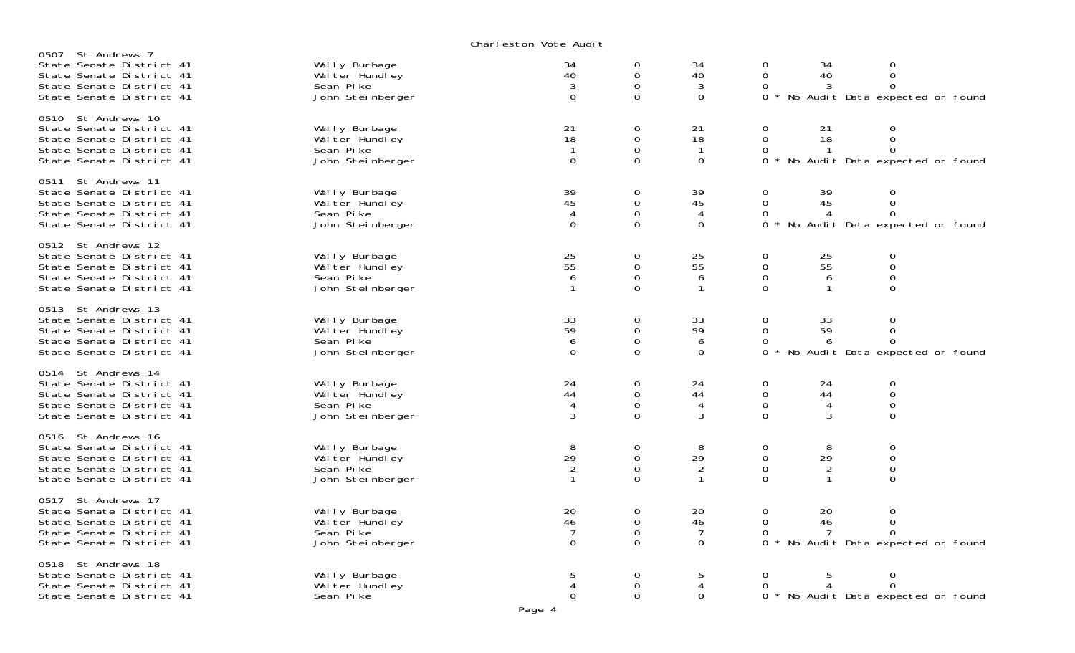Charleston Vote Audit

| 0507 St Andrews 7<br>State Senate District 41<br>State Senate District 41<br>State Senate District 41<br>State Senate District 41  | Wally Burbage<br>Wal ter Hundley<br>Sean Pike<br>John Steinberger | 34<br>40<br>3<br>$\mathbf 0$                                 | 0<br>0<br>0<br>$\mathbf 0$                     | 34<br>40<br>3<br>$\mathbf 0$               | 34<br>$\Omega$<br>40<br>0<br>3<br>$\Omega$                                                    | $\Omega$<br>$\Omega$<br>No Audit Data expected or found          |  |
|------------------------------------------------------------------------------------------------------------------------------------|-------------------------------------------------------------------|--------------------------------------------------------------|------------------------------------------------|--------------------------------------------|-----------------------------------------------------------------------------------------------|------------------------------------------------------------------|--|
| 0510 St Andrews 10<br>State Senate District 41<br>State Senate District 41<br>State Senate District 41<br>State Senate District 41 | Wally Burbage<br>Wal ter Hundley<br>Sean Pike<br>John Steinberger | 21<br>18<br>$\mathbf{1}$<br>$\mathbf 0$                      | $\mathbf 0$<br>$\mathbf 0$<br>0<br>0           | 21<br>18<br>$\mathbf{1}$<br>$\mathbf 0$    | 0<br>21<br>18<br>0<br>0<br>0                                                                  | 0<br>$\mathbf{O}$<br>$\Omega$<br>No Audit Data expected or found |  |
| 0511 St Andrews 11<br>State Senate District 41<br>State Senate District 41<br>State Senate District 41<br>State Senate District 41 | Wally Burbage<br>Wal ter Hundley<br>Sean Pike<br>John Steinberger | 39<br>45<br>4<br>$\mathbf 0$                                 | 0<br>0<br>$\mathbf 0$<br>0                     | 39<br>45<br>4<br>$\mathbf 0$               | 0<br>39<br>0<br>45<br>0<br>4<br>0                                                             | 0<br>$\mathsf{O}$<br>0<br>No Audit Data expected or found        |  |
| 0512 St Andrews 12<br>State Senate District 41<br>State Senate District 41<br>State Senate District 41<br>State Senate District 41 | Wally Burbage<br>Wal ter Hundley<br>Sean Pike<br>John Steinberger | $\begin{array}{c} 25 \\ 55 \end{array}$<br>6<br>$\mathbf{1}$ | 0<br>$\mathbf 0$<br>0<br>$\overline{0}$        | 25<br>$\overline{55}$<br>6<br>$\mathbf{1}$ | 0<br>$\begin{array}{c} 25 \\ 55 \end{array}$<br>0<br>0<br>6<br>$\overline{0}$<br>$\mathbf{1}$ | 0<br>$\mathbf{O}$<br>$\mathsf{O}$<br>$\overline{O}$              |  |
| 0513 St Andrews 13<br>State Senate District 41<br>State Senate District 41<br>State Senate District 41<br>State Senate District 41 | Wally Burbage<br>Wal ter Hundley<br>Sean Pike<br>John Steinberger | 33<br>59<br>6<br>$\Omega$                                    | 0<br>$\mathbf 0$<br>$\mathbf 0$<br>$\Omega$    | 33<br>59<br>6<br>$\Omega$                  | 33<br>0<br>0<br>59<br>0<br>6<br>$\Omega$                                                      | 0<br>$\mathbf{O}$<br>$\Omega$<br>No Audit Data expected or found |  |
| 0514 St Andrews 14<br>State Senate District 41<br>State Senate District 41<br>State Senate District 41<br>State Senate District 41 | Wally Burbage<br>Wal ter Hundley<br>Sean Pike<br>John Steinberger | 24<br>44<br>4<br>3                                           | 0<br>$\mathbf 0$<br>0<br>0                     | 24<br>44<br>4<br>3                         | 0<br>24<br>$\mathbf 0$<br>44<br>0<br>$\overline{4}$<br>$\Omega$<br>3                          | 0<br>$\mathbf{O}$<br>$\mathbf{O}$<br>0                           |  |
| 0516 St Andrews 16<br>State Senate District 41<br>State Senate District 41<br>State Senate District 41<br>State Senate District 41 | Wally Burbage<br>Wal ter Hundley<br>Sean Pike<br>John Steinberger | 8<br>29<br>$\overline{2}$<br>$\mathbf{1}$                    | 0<br>$\mathbf 0$<br>$\mathbf 0$<br>0           | 8<br>29<br>2<br>$\mathbf{1}$               | 0<br>8<br>29<br>0<br>$\mathbf 0$<br>2<br>0<br>$\mathbf{1}$                                    | 0<br>$\mathbf 0$<br>$\mathbf 0$<br>$\mathbf 0$                   |  |
| 0517 St Andrews 17<br>State Senate District 41<br>State Senate District 41<br>State Senate District 41<br>State Senate District 41 | Wally Burbage<br>Wal ter Hundley<br>Sean Pike<br>John Steinberger | 20<br>46<br>$\overline{7}$<br>$\mathbf 0$                    | $\mathbf 0$<br>$\mathbf 0$<br>$\mathbf 0$<br>0 | 20<br>46<br>$\overline{7}$<br>$\mathbf 0$  | 0<br>20<br>0<br>46<br>0<br>7<br>$\Omega$                                                      | 0<br>$\mathsf{O}$<br>$\Omega$<br>No Audit Data expected or found |  |
| 0518 St Andrews 18<br>State Senate District 41<br>State Senate District 41<br>State Senate District 41                             | Wally Burbage<br>Wal ter Hundley<br>Sean Pike                     | 5<br>4<br>$\mathbf 0$                                        | 0<br>$\boldsymbol{0}$<br>0                     | 5<br>4<br>$\mathbf 0$                      | 0<br>5<br>0                                                                                   | 0<br>$\Omega$<br>* No Audit Data expected or found               |  |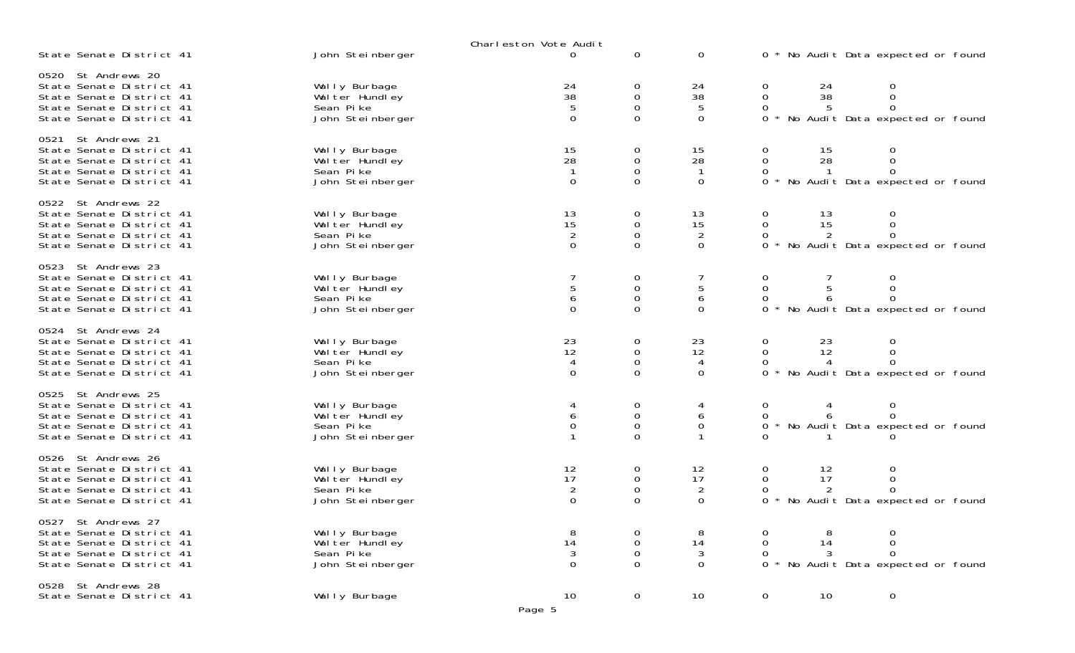|                                                                                                                                    |                                                                   | Charleston Vote Audit                                                 |                                                             |                                                                          |                                                                                                         |
|------------------------------------------------------------------------------------------------------------------------------------|-------------------------------------------------------------------|-----------------------------------------------------------------------|-------------------------------------------------------------|--------------------------------------------------------------------------|---------------------------------------------------------------------------------------------------------|
| State Senate District 41                                                                                                           | John Steinberger                                                  | $\Omega$                                                              | 0                                                           | $\mathbf 0$                                                              | 0 * No Audit Data expected or found                                                                     |
| 0520 St Andrews 20<br>State Senate District 41<br>State Senate District 41<br>State Senate District 41<br>State Senate District 41 | Wally Burbage<br>Wal ter Hundley<br>Sean Pike<br>John Steinberger | $\begin{array}{c} 24 \\ 38 \\ 5 \end{array}$<br>$\mathbf 0$           | 0<br>$_{\rm 0}^{\rm 0}$<br>$\Omega$                         | 24<br>$\begin{array}{c} 38 \\ 5 \end{array}$<br>$\mathbf 0$              | 24<br>38<br>0<br>0<br>$\Omega$<br>5<br>0<br>0<br>No Audit Data expected or found                        |
| 0521 St Andrews 21<br>State Senate District 41<br>State Senate District 41<br>State Senate District 41<br>State Senate District 41 | Wally Burbage<br>Wal ter Hundley<br>Sean Pike<br>John Steinberger | 15<br>28<br>$\mathbf{1}$<br>$\mathbf 0$                               | 0<br>0<br>$\mathbf 0$<br>$\Omega$                           | 15<br>28<br>$\mathbf{1}$<br>$\mathbf 0$                                  | 0<br>15<br>28<br>0<br>0<br>$\Omega$<br>$\mathbf{1}$<br>0<br>$\Omega$<br>No Audit Data expected or found |
| 0522 St Andrews 22<br>State Senate District 41<br>State Senate District 41<br>State Senate District 41<br>State Senate District 41 | Wally Burbage<br>Wal ter Hundley<br>Sean Pike<br>John Steinberger | $\begin{array}{c} 13 \\ 15 \end{array}$<br>$\sqrt{2}$<br>$\mathbf{0}$ | 0<br>$\boldsymbol{0}$<br>$\mathsf{O}\xspace$<br>$\mathbf 0$ | $\begin{array}{c} 13 \\ 15 \end{array}$<br>$\overline{c}$<br>$\mathbf 0$ | 13<br>15<br>0<br>0<br>$\Omega$<br>2<br>0<br>0<br>No Audit Data expected or found                        |
| 0523 St Andrews 23<br>State Senate District 41<br>State Senate District 41<br>State Senate District 41<br>State Senate District 41 | Wally Burbage<br>Wal ter Hundley<br>Sean Pike<br>John Steinberger | $\begin{array}{c} 5 \\ 6 \end{array}$<br>$\Omega$                     | 0<br>$\boldsymbol{0}$<br>$\mathsf{O}\xspace$<br>$\Omega$    | $\frac{5}{6}$<br>$\Omega$                                                | 0<br>0<br>$\Omega$<br>No Audit Data expected or found<br>0                                              |
| 0524 St Andrews 24<br>State Senate District 41<br>State Senate District 41<br>State Senate District 41<br>State Senate District 41 | Wally Burbage<br>Wal ter Hundley<br>Sean Pike<br>John Steinberger | $\begin{array}{c} 23 \\ 12 \end{array}$<br>$\overline{4}$<br>$\Omega$ | 0<br>$\mathsf{O}\xspace$<br>$\mathsf{O}\xspace$<br>$\Omega$ | 23<br>12<br>4<br>$\Omega$                                                | 23<br>12<br>0<br>0<br>$\Omega$<br>4<br>No Audit Data expected or found<br>0                             |
| 0525 St Andrews 25<br>State Senate District 41<br>State Senate District 41<br>State Senate District 41<br>State Senate District 41 | Wally Burbage<br>Wal ter Hundley<br>Sean Pike<br>John Steinberger | $^6_0$                                                                | 0<br>$\boldsymbol{0}$<br>$\mathsf{O}\xspace$<br>$\Omega$    | 4<br>6<br>$\mathsf{O}\xspace$                                            | 0<br>0<br>$\Omega$<br>6<br>0 * No Audit Data expected or found                                          |
| 0526 St Andrews 26<br>State Senate District 41<br>State Senate District 41<br>State Senate District 41<br>State Senate District 41 | Wally Burbage<br>Wal ter Hundley<br>Sean Pike<br>John Steinberger | 12<br>17<br>$\overline{2}$<br>$\mathbf 0$                             | 0<br>$\mathbf 0$<br>$\mathbf 0$<br>$\Omega$                 | 12<br>17<br>$\overline{2}$<br>0                                          | 12<br>0<br>0<br>17<br>0<br>2<br>No Audit Data expected or found<br>0                                    |
| 0527 St Andrews 27<br>State Senate District 41<br>State Senate District 41<br>State Senate District 41<br>State Senate District 41 | Wally Burbage<br>Wal ter Hundley<br>Sean Pike<br>John Steinberger | 14<br>3<br>$\Omega$                                                   | 0<br>0<br>0<br>0                                            | 8<br>14<br>$\mathfrak{Z}$<br>$\mathbf 0$                                 | 8<br>14<br>0<br>3<br>$\Omega$<br>0<br>No Audit Data expected or found                                   |
| 0528 St Andrews 28<br>State Senate District 41                                                                                     | Wally Burbage                                                     | 10<br>Page 5                                                          | $\mathbf 0$                                                 | 10 <sup>°</sup>                                                          | $\mathbf 0$<br>10<br>$\mathsf{O}\xspace$                                                                |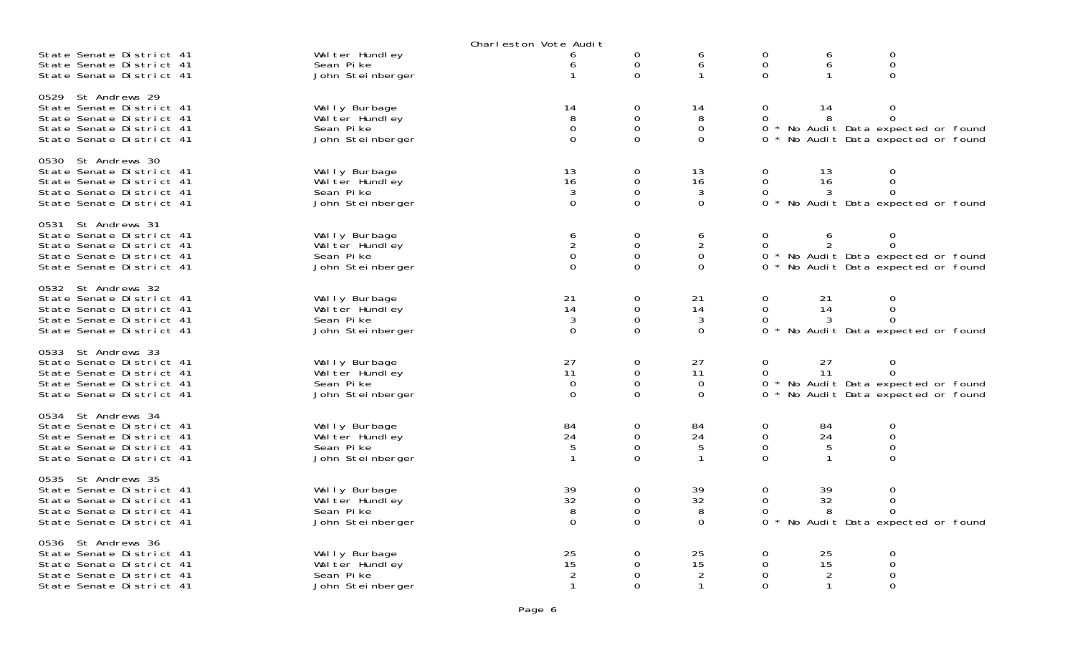|                                                                                                                                       |                                                                   | Charleston Vote Audit                      |                                      |                                                    |                                    |                                 |                                                                                       |
|---------------------------------------------------------------------------------------------------------------------------------------|-------------------------------------------------------------------|--------------------------------------------|--------------------------------------|----------------------------------------------------|------------------------------------|---------------------------------|---------------------------------------------------------------------------------------|
| State Senate District 41<br>State Senate District 41<br>State Senate District 41                                                      | Wal ter Hundley<br>Sean Pike<br>John Steinberger                  | 6<br>6<br>1                                | 0<br>0<br>0                          | 6<br>6<br>$\mathbf{1}$                             | 0<br>$\mathbf 0$<br>$\Omega$       | 6<br>6<br>-1                    | 0<br>$\mathsf{O}\xspace$<br>0                                                         |
| St Andrews 29<br>0529<br>State Senate District 41<br>State Senate District 41<br>State Senate District 41<br>State Senate District 41 | Wally Burbage<br>Wal ter Hundley<br>Sean Pike<br>John Steinberger | 14<br>8<br>$\mathbf 0$<br>0                | 0<br>0<br>0<br>0                     | 14<br>8<br>$\mathbf 0$<br>$\mathbf 0$              | 0<br>0<br>0<br>0                   | 14<br>8                         | 0<br>0<br>* No Audit Data expected or found<br>No Audit Data expected or found        |
| 0530 St Andrews 30<br>State Senate District 41<br>State Senate District 41<br>State Senate District 41<br>State Senate District 41    | Wally Burbage<br>Wal ter Hundley<br>Sean Pike<br>John Steinberger | 13<br>16<br>3<br>$\overline{O}$            | 0<br>0<br>0<br>0                     | 13<br>16<br>$\mathbf{3}$<br>0                      | 0<br>$\Omega$<br>0<br>$\Omega$     | 13<br>16<br>3                   | 0<br>0<br>0<br>No Audit Data expected or found                                        |
| 0531 St Andrews 31<br>State Senate District 41<br>State Senate District 41<br>State Senate District 41<br>State Senate District 41    | Wally Burbage<br>Wal ter Hundley<br>Sean Pike<br>John Steinberger | 6<br>$\overline{c}$<br>0<br>$\Omega$       | 0<br>0<br>0<br>0                     | 6<br>$\overline{2}$<br>$\mathbf 0$<br>$\mathbf{O}$ | 0<br>0<br>0<br>0                   | 6                               | 0<br>0<br>* No Audit Data expected or found<br>No Audit Data expected or found        |
| 0532<br>St Andrews 32<br>State Senate District 41<br>State Senate District 41<br>State Senate District 41<br>State Senate District 41 | Wally Burbage<br>Wal ter Hundley<br>Sean Pike<br>John Steinberger | 21<br>14<br>3<br>$\mathbf{0}$              | 0<br>$\overline{0}$<br>0<br>$\Omega$ | 21<br>14<br>3<br>$\Omega$                          | 0<br>$\mathbf{O}$<br>0<br>$\Omega$ | 21<br>14<br>3                   | 0<br>0<br>0<br>No Audit Data expected or found                                        |
| 0533 St Andrews 33<br>State Senate District 41<br>State Senate District 41<br>State Senate District 41<br>State Senate District 41    | Wally Burbage<br>Wal ter Hundley<br>Sean Pike<br>John Steinberger | 27<br>11<br>0<br>$\mathbf 0$               | 0<br>0<br>0<br>0                     | 27<br>11<br>$\overline{0}$<br>0                    | 0<br>0<br>0<br>0                   | 27<br>11                        | 0<br>$\Omega$<br>* No Audit Data expected or found<br>No Audit Data expected or found |
| 0534 St Andrews 34<br>State Senate District 41<br>State Senate District 41<br>State Senate District 41<br>State Senate District 41    | Wally Burbage<br>Wal ter Hundley<br>Sean Pike<br>John Steinberger | 84<br>24<br>5<br>$\mathbf{1}$              | 0<br>0<br>0<br>$\Omega$              | 84<br>24<br>5<br>$\mathbf{1}$                      | 0<br>$\mathbf 0$<br>0<br>$\Omega$  | 84<br>24<br>5<br>$\mathbf{1}$   | 0<br>$\overline{0}$<br>0<br>0                                                         |
| St Andrews 35<br>0535<br>State Senate District 41<br>State Senate District 41<br>State Senate District 41<br>State Senate District 41 | Wally Burbage<br>Wal ter Hundley<br>Sean Pike<br>John Steinberger | 39<br>32<br>8<br>$\mathbf 0$               | 0<br>0<br>0<br>0                     | 39<br>32<br>8<br>$\mathbf 0$                       | $\mathbf 0$<br>0<br>0<br>0         | 39<br>32<br>8                   | 0<br>0<br>$\Omega$<br>No Audit Data expected or found                                 |
| 0536 St Andrews 36<br>State Senate District 41<br>State Senate District 41<br>State Senate District 41<br>State Senate District 41    | Wally Burbage<br>Wal ter Hundley<br>Sean Pike<br>John Steinberger | 25<br>15<br>$\overline{2}$<br>$\mathbf{1}$ | 0<br>0<br>0<br>$\Omega$              | 25<br>15<br>$\overline{2}$<br>$\mathbf{1}$         | 0<br>$\mathbf 0$<br>0<br>$\Omega$  | 25<br>15<br>$\overline{2}$<br>1 | 0<br>0<br>0<br>0                                                                      |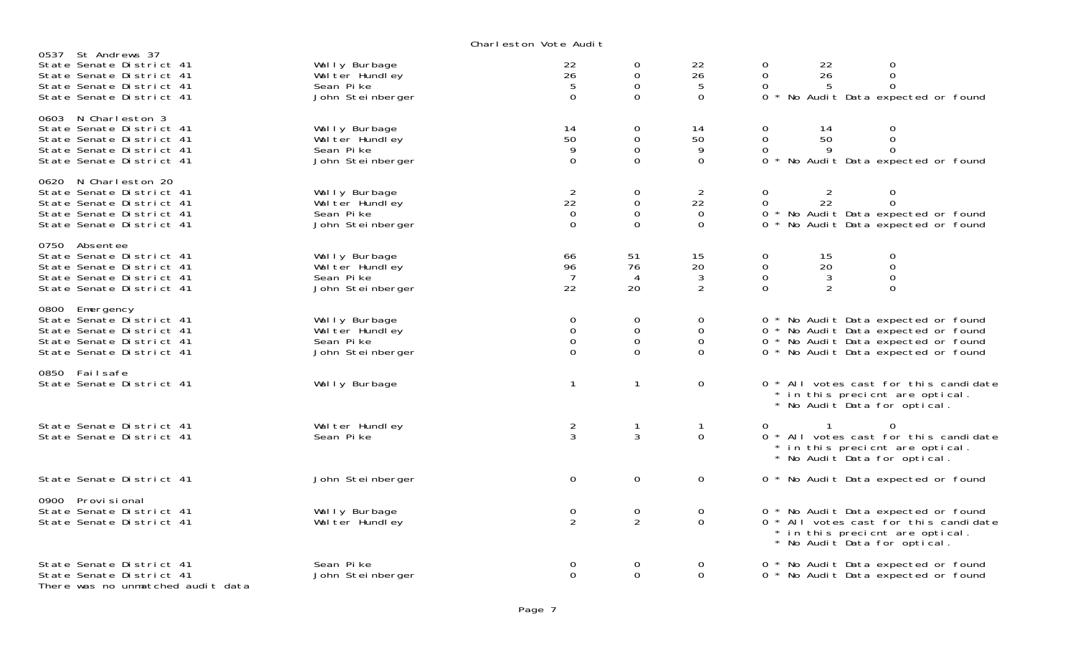Charleston Vote Audit

| St Andrews 37<br>0537<br>State Senate District 41<br>State Senate District 41<br>State Senate District 41<br>State Senate District 41 | Wally Burbage<br>Wal ter Hundley<br>Sean Pike<br>John Steinberger | 22<br>26<br>5<br>$\overline{0}$                                 | 0<br>$\mathbf 0$<br>$\mathbf 0$<br>$\Omega$           | 22<br>26<br>5<br>$\Omega$                    | $\mathsf{O}\xspace$<br>22<br>0<br>$\boldsymbol{0}$<br>$\mathbf 0$<br>26<br>$\mathbf 0$<br>$\Omega$<br>5<br>No Audit Data expected or found<br>$0 *$      |
|---------------------------------------------------------------------------------------------------------------------------------------|-------------------------------------------------------------------|-----------------------------------------------------------------|-------------------------------------------------------|----------------------------------------------|----------------------------------------------------------------------------------------------------------------------------------------------------------|
| 0603 N Charleston 3<br>State Senate District 41<br>State Senate District 41<br>State Senate District 41<br>State Senate District 41   | Wally Burbage<br>Wal ter Hundley<br>Sean Pike<br>John Steinberger | 14<br>50<br>9<br>$\Omega$                                       | 0<br>$\mathbf 0$<br>$\overline{0}$<br>$\Omega$        | 14<br>50<br>9<br>$\Omega$                    | 0<br>14<br>$\boldsymbol{0}$<br>$\mathbf 0$<br>$\overline{0}$<br>50<br>$\mathbf 0$<br>$\Omega$<br>9<br>No Audit Data expected or found<br>$0 *$           |
| 0620 N Charleston 20<br>State Senate District 41<br>State Senate District 41<br>State Senate District 41<br>State Senate District 41  | Wally Burbage<br>Wal ter Hundley<br>Sean Pike<br>John Steinberger | $\overline{2}$<br>$2\overline{2}$<br>$\overline{0}$<br>$\Omega$ | 0<br>$\mathbf 0$<br>$\mathbf 0$<br>$\Omega$           | 2<br>22<br>$\Omega$<br>$\Omega$              | $\mathbf 0$<br>0<br>$\overline{O}$<br>22<br>$\Omega$<br>0 * No Audit Data expected or found<br>No Audit Data expected or found<br>$0 *$                  |
| 0750 Absentee<br>State Senate District 41<br>State Senate District 41<br>State Senate District 41<br>State Senate District 41         | Wally Burbage<br>Wal ter Hundley<br>Sean Pike<br>John Steinberger | 66<br>96<br>$\overline{7}$<br>22                                | 51<br>76<br>4<br>20                                   | 15<br>20<br>3<br>$\overline{2}$              | $\mathbf 0$<br>15<br>$\mathbf 0$<br>$_{\rm 0}^{\rm 0}$<br>$\mathbf 0$<br>20<br>$\Omega$<br>3<br>$\overline{0}$<br>2<br>$\Omega$                          |
| 0800 Emergency<br>State Senate District 41<br>State Senate District 41<br>State Senate District 41<br>State Senate District 41        | Wally Burbage<br>Wal ter Hundley<br>Sean Pike<br>John Steinberger | $\Omega$<br>$\mathbf 0$<br>$\mathbf 0$<br>$\Omega$              | $\Omega$<br>$\overline{0}$<br>$\mathbf 0$<br>$\Omega$ | $\Omega$<br>$\Omega$<br>$\Omega$<br>$\Omega$ | 0 * No Audit Data expected or found<br>0 * No Audit Data expected or found<br>0 * No Audit Data expected or found<br>0 * No Audit Data expected or found |
| 0850 Failsafe<br>State Senate District 41                                                                                             | Wally Burbage                                                     | $\mathbf{1}$                                                    | $\mathbf 1$                                           | $\mathsf{O}$                                 | 0 * All votes cast for this candidate<br>* in this precicnt are optical.<br>* No Audit Data for optical.                                                 |
| State Senate District 41<br>State Senate District 41                                                                                  | Wal ter Hundley<br>Sean Pike                                      | $\frac{2}{3}$                                                   | 3                                                     | $\mathbf 1$<br>$\overline{0}$                | $\Omega$<br>0<br>0 * All votes cast for this candidate<br>* in this precient are optical.<br>* No Audit Data for optical.                                |
| State Senate District 41                                                                                                              | John Steinberger                                                  | $\mathbf 0$                                                     | $\mathbf 0$                                           | 0                                            | 0 * No Audit Data expected or found                                                                                                                      |
| 0900 Provi si onal<br>State Senate District 41<br>State Senate District 41                                                            | Wally Burbage<br>Wal ter Hundley                                  | 0<br>$\overline{2}$                                             | $\mathbf 0$<br>2                                      | $\mathbf 0$<br>$\Omega$                      | 0 * No Audit Data expected or found<br>0 * All votes cast for this candidate<br>* in this precient are optical.<br>* No Audit Data for optical.          |
| State Senate District 41<br>State Senate District 41<br>There was no unmatched audit data                                             | Sean Pike<br>John Steinberger                                     | 0<br>$\Omega$                                                   | 0<br>$\Omega$                                         | 0<br>$\Omega$                                | 0 * No Audit Data expected or found<br>0 * No Audit Data expected or found                                                                               |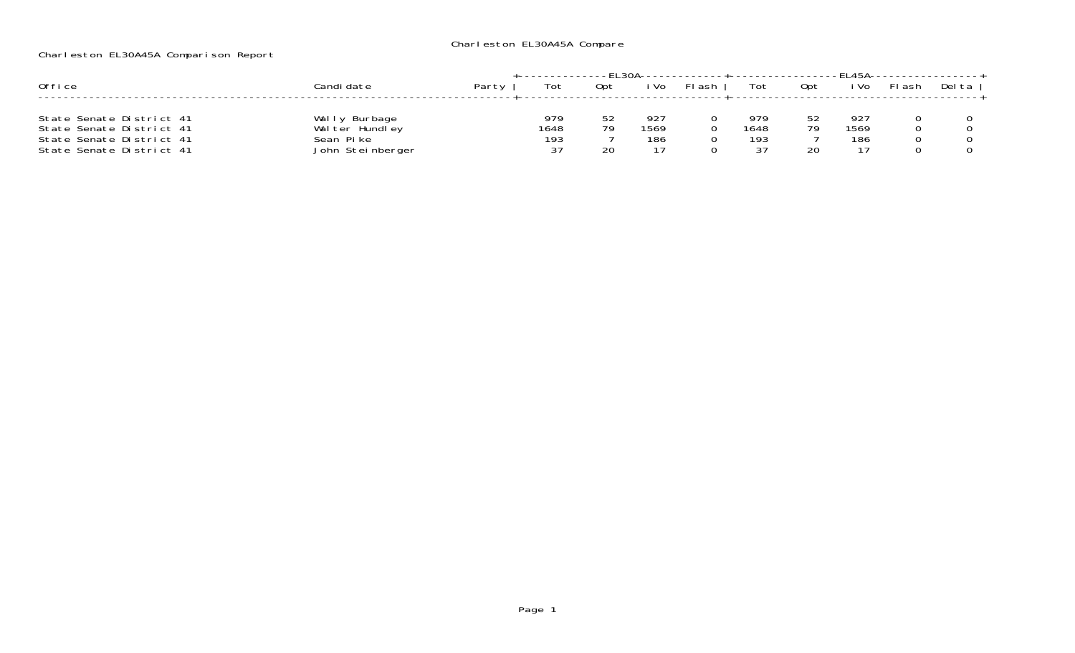## Charleston EL30A45A Compare

## Charleston EL30A45A Comparison Report

|                                                                                                              |                                                                    |       |                          |         |                    |        |                          |           | <b>FI454-</b>     |        |        |
|--------------------------------------------------------------------------------------------------------------|--------------------------------------------------------------------|-------|--------------------------|---------|--------------------|--------|--------------------------|-----------|-------------------|--------|--------|
| Office                                                                                                       | ≿andi date                                                         | Party | Tot                      | Opt     | ' Vo               | -l ash | Tot                      | Opt       | i Vo              | FI ash | Del ta |
| State Senate District 41<br>State Senate District 41<br>State Senate District 41<br>State Senate District 41 | Burbage<br>wal<br>Wal ter Hundley<br>Sean Pike<br>John Steinberger |       | 979<br>1648<br>193<br>っっ | 70<br>ົ | 927<br>1569<br>186 |        | 979<br>1648<br>193<br>つつ | につ<br>70. | 92<br>1569<br>186 |        |        |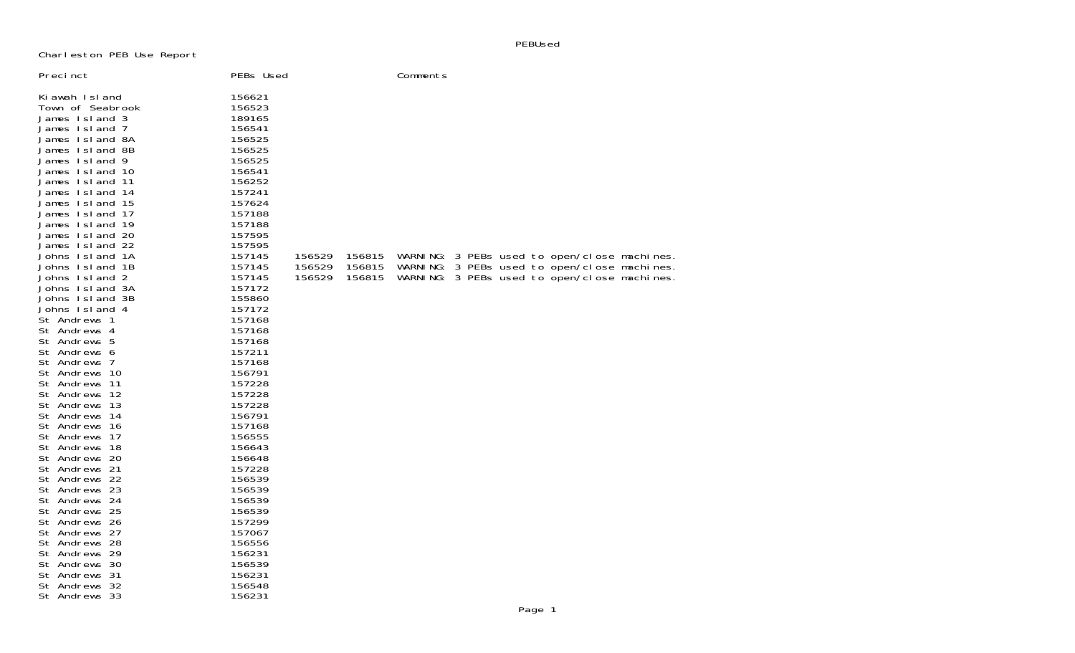PEBUsed

Charleston PEB Use Report

| Precinct                                                                                                                                                                                                                                                                                                                                                                                                                                                                                                                                                                                                                                                                                                                                                                                                                  | PEBs Used                                                                                                                                                                                                                                                                                                                                                                                                                                                      |                            |                            | Comments |  |                                                                                                                                           |  |
|---------------------------------------------------------------------------------------------------------------------------------------------------------------------------------------------------------------------------------------------------------------------------------------------------------------------------------------------------------------------------------------------------------------------------------------------------------------------------------------------------------------------------------------------------------------------------------------------------------------------------------------------------------------------------------------------------------------------------------------------------------------------------------------------------------------------------|----------------------------------------------------------------------------------------------------------------------------------------------------------------------------------------------------------------------------------------------------------------------------------------------------------------------------------------------------------------------------------------------------------------------------------------------------------------|----------------------------|----------------------------|----------|--|-------------------------------------------------------------------------------------------------------------------------------------------|--|
| Ki awah Island<br>Town of Seabrook<br>James Island 3<br>James Island 7<br>James Island 8A<br>James Island 8B<br>James Island 9<br>James Island 10<br>James Island 11<br>James Island 14<br>James Island 15<br>James Island 17<br>James Island 19<br>James Island 20<br>James Island 22<br>Johns Island 1A<br>Johns Island 1B<br>Johns Island 2<br>Johns Island 3A<br>Johns Island 3B<br>Johns Island 4<br>St Andrews 1<br>St Andrews 4<br>St Andrews 5<br>St Andrews 6<br>St Andrews 7<br>St Andrews 10<br>St Andrews 11<br>St Andrews 12<br>St Andrews 13<br>St Andrews 14<br>St Andrews 16<br>St Andrews 17<br>St Andrews 18<br>St Andrews 20<br>St Andrews 21<br>St Andrews 22<br>St Andrews 23<br>St Andrews 24<br>St Andrews 25<br>St Andrews 26<br>St Andrews 27<br>St Andrews 28<br>St Andrews 29<br>St Andrews 30 | 156621<br>156523<br>189165<br>156541<br>156525<br>156525<br>156525<br>156541<br>156252<br>157241<br>157624<br>157188<br>157188<br>157595<br>157595<br>157145<br>157145<br>157145<br>157172<br>155860<br>157172<br>157168<br>157168<br>157168<br>157211<br>157168<br>156791<br>157228<br>157228<br>157228<br>156791<br>157168<br>156555<br>156643<br>156648<br>157228<br>156539<br>156539<br>156539<br>156539<br>157299<br>157067<br>156556<br>156231<br>156539 | 156529<br>156529<br>156529 | 156815<br>156815<br>156815 |          |  | WARNING: 3 PEBs used to open/close machines<br>WARNING: 3 PEBs used to open/close machines<br>WARNING: 3 PEBs used to open/close machines |  |
| St Andrews 31<br>St Andrews 32                                                                                                                                                                                                                                                                                                                                                                                                                                                                                                                                                                                                                                                                                                                                                                                            | 156231<br>156548                                                                                                                                                                                                                                                                                                                                                                                                                                               |                            |                            |          |  |                                                                                                                                           |  |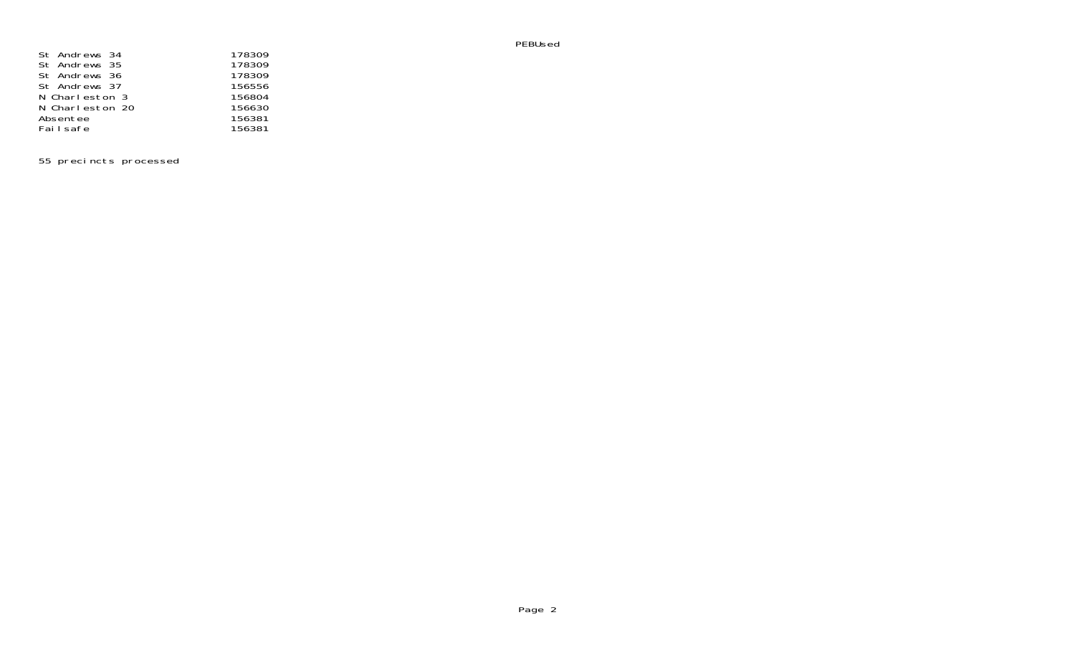PEBUsed

| St Andrews 34   | 178309 |
|-----------------|--------|
| St Andrews 35   | 178309 |
| St Andrews 36   | 178309 |
| St Andrews 37   | 156556 |
| N Charleston 3  | 156804 |
| N Charleston 20 | 156630 |
| Absentee        | 156381 |
| Fai I safe      | 156381 |

55 precincts processed